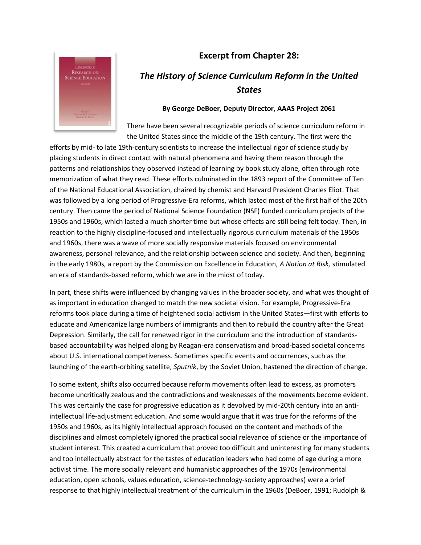## **Excerpt from Chapter 28:**



## *The History of Science Curriculum Reform in the United States*

## **By George DeBoer, Deputy Director, AAAS Project 2061**

There have been several recognizable periods of science curriculum reform in the United States since the middle of the 19th century. The first were the

efforts by mid- to late 19th-century scientists to increase the intellectual rigor of science study by placing students in direct contact with natural phenomena and having them reason through the patterns and relationships they observed instead of learning by book study alone, often through rote memorization of what they read. These efforts culminated in the 1893 report of the Committee of Ten of the National Educational Association, chaired by chemist and Harvard President Charles Eliot. That was followed by a long period of Progressive-Era reforms, which lasted most of the first half of the 20th century. Then came the period of National Science Foundation (NSF) funded curriculum projects of the 1950s and 1960s, which lasted a much shorter time but whose effects are still being felt today. Then, in reaction to the highly discipline-focused and intellectually rigorous curriculum materials of the 1950s and 1960s, there was a wave of more socially responsive materials focused on environmental awareness, personal relevance, and the relationship between science and society. And then, beginning in the early 1980s, a report by the Commission on Excellence in Education, *A Nation at Risk,* stimulated an era of standards-based reform, which we are in the midst of today.

In part, these shifts were influenced by changing values in the broader society, and what was thought of as important in education changed to match the new societal vision. For example, Progressive-Era reforms took place during a time of heightened social activism in the United States—first with efforts to educate and Americanize large numbers of immigrants and then to rebuild the country after the Great Depression. Similarly, the call for renewed rigor in the curriculum and the introduction of standardsbased accountability was helped along by Reagan-era conservatism and broad-based societal concerns about U.S. international competiveness. Sometimes specific events and occurrences, such as the launching of the earth-orbiting satellite, *Sputnik*, by the Soviet Union, hastened the direction of change.

To some extent, shifts also occurred because reform movements often lead to excess, as promoters become uncritically zealous and the contradictions and weaknesses of the movements become evident. This was certainly the case for progressive education as it devolved by mid-20th century into an antiintellectual life-adjustment education. And some would argue that it was true for the reforms of the 1950s and 1960s, as its highly intellectual approach focused on the content and methods of the disciplines and almost completely ignored the practical social relevance of science or the importance of student interest. This created a curriculum that proved too difficult and uninteresting for many students and too intellectually abstract for the tastes of education leaders who had come of age during a more activist time. The more socially relevant and humanistic approaches of the 1970s (environmental education, open schools, values education, science-technology-society approaches) were a brief response to that highly intellectual treatment of the curriculum in the 1960s (DeBoer, 1991; Rudolph &